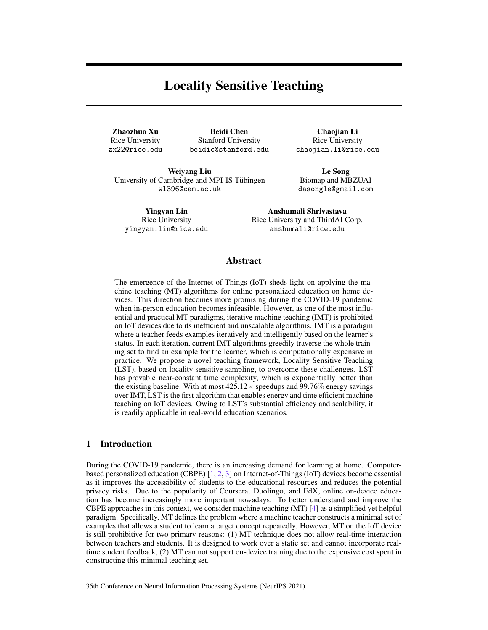# Locality Sensitive Teaching

Zhaozhuo Xu Rice University zx22@rice.edu

Beidi Chen Stanford University beidic@stanford.edu

Chaojian Li Rice University chaojian.li@rice.edu

Weiyang Liu University of Cambridge and MPI-IS Tubingen ¨ wl396@cam.ac.uk

Le Song Biomap and MBZUAI dasongle@gmail.com

Yingyan Lin Rice University yingyan.lin@rice.edu

Anshumali Shrivastava Rice University and ThirdAI Corp. anshumali@rice.edu

### Abstract

The emergence of the Internet-of-Things (IoT) sheds light on applying the machine teaching (MT) algorithms for online personalized education on home devices. This direction becomes more promising during the COVID-19 pandemic when in-person education becomes infeasible. However, as one of the most influential and practical MT paradigms, iterative machine teaching (IMT) is prohibited on IoT devices due to its inefficient and unscalable algorithms. IMT is a paradigm where a teacher feeds examples iteratively and intelligently based on the learner's status. In each iteration, current IMT algorithms greedily traverse the whole training set to find an example for the learner, which is computationally expensive in practice. We propose a novel teaching framework, Locality Sensitive Teaching (LST), based on locality sensitive sampling, to overcome these challenges. LST has provable near-constant time complexity, which is exponentially better than the existing baseline. With at most  $425.12 \times$  speedups and 99.76% energy savings over IMT, LST is the first algorithm that enables energy and time efficient machine teaching on IoT devices. Owing to LST's substantial efficiency and scalability, it is readily applicable in real-world education scenarios.

## 1 Introduction

During the COVID-19 pandemic, there is an increasing demand for learning at home. Computerbased personalized education (CBPE) [1, 2, 3] on Internet-of-Things (IoT) devices become essential as it improves the accessibility of students to the educational resources and reduces the potential privacy risks. Due to the popularity of Coursera, Duolingo, and EdX, online on-device education has become increasingly more important nowadays. To better understand and improve the CBPE approaches in this context, we consider machine teaching (MT) [4] as a simplified yet helpful paradigm. Specifically, MT defines the problem where a machine teacher constructs a minimal set of examples that allows a student to learn a target concept repeatedly. However, MT on the IoT device is still prohibitive for two primary reasons: (1) MT technique does not allow real-time interaction between teachers and students. It is designed to work over a static set and cannot incorporate realtime student feedback, (2) MT can not support on-device training due to the expensive cost spent in constructing this minimal teaching set.

35th Conference on Neural Information Processing Systems (NeurIPS 2021).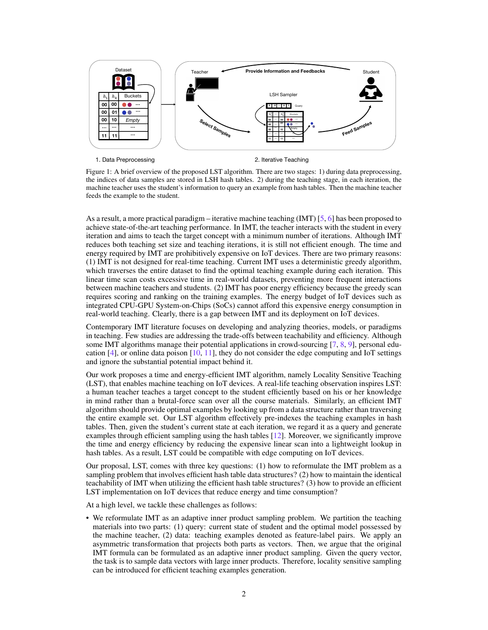

Figure 1: A brief overview of the proposed LST algorithm. There are two stages: 1) during data preprocessing, the indices of data samples are stored in LSH hash tables. 2) during the teaching stage, in each iteration, the machine teacher uses the student's information to query an example from hash tables. Then the machine teacher feeds the example to the student.

As a result, a more practical paradigm – iterative machine teaching (IMT)  $[5, 6]$  has been proposed to achieve state-of-the-art teaching performance. In IMT, the teacher interacts with the student in every iteration and aims to teach the target concept with a minimum number of iterations. Although IMT reduces both teaching set size and teaching iterations, it is still not efficient enough. The time and energy required by IMT are prohibitively expensive on IoT devices. There are two primary reasons: (1) IMT is not designed for real-time teaching. Current IMT uses a deterministic greedy algorithm, which traverses the entire dataset to find the optimal teaching example during each iteration. This linear time scan costs excessive time in real-world datasets, preventing more frequent interactions between machine teachers and students. (2) IMT has poor energy efficiency because the greedy scan requires scoring and ranking on the training examples. The energy budget of IoT devices such as integrated CPU-GPU System-on-Chips (SoCs) cannot afford this expensive energy consumption in real-world teaching. Clearly, there is a gap between IMT and its deployment on IoT devices.

Contemporary IMT literature focuses on developing and analyzing theories, models, or paradigms in teaching. Few studies are addressing the trade-offs between teachability and efficiency. Although some IMT algorithms manage their potential applications in crowd-sourcing [7, 8, 9], personal education  $[4]$ , or online data poison  $[10, 11]$ , they do not consider the edge computing and IoT settings and ignore the substantial potential impact behind it.

Our work proposes a time and energy-efficient IMT algorithm, namely Locality Sensitive Teaching (LST), that enables machine teaching on IoT devices. A real-life teaching observation inspires LST: a human teacher teaches a target concept to the student efficiently based on his or her knowledge in mind rather than a brutal-force scan over all the course materials. Similarly, an efficient IMT algorithm should provide optimal examples by looking up from a data structure rather than traversing the entire example set. Our LST algorithm effectively pre-indexes the teaching examples in hash tables. Then, given the student's current state at each iteration, we regard it as a query and generate examples through efficient sampling using the hash tables [12]. Moreover, we significantly improve the time and energy efficiency by reducing the expensive linear scan into a lightweight lookup in hash tables. As a result, LST could be compatible with edge computing on IoT devices.

Our proposal, LST, comes with three key questions: (1) how to reformulate the IMT problem as a sampling problem that involves efficient hash table data structures? (2) how to maintain the identical teachability of IMT when utilizing the efficient hash table structures? (3) how to provide an efficient LST implementation on IoT devices that reduce energy and time consumption?

At a high level, we tackle these challenges as follows:

• We reformulate IMT as an adaptive inner product sampling problem. We partition the teaching materials into two parts: (1) query: current state of student and the optimal model possessed by the machine teacher, (2) data: teaching examples denoted as feature-label pairs. We apply an asymmetric transformation that projects both parts as vectors. Then, we argue that the original IMT formula can be formulated as an adaptive inner product sampling. Given the query vector, the task is to sample data vectors with large inner products. Therefore, locality sensitive sampling can be introduced for efficient teaching examples generation.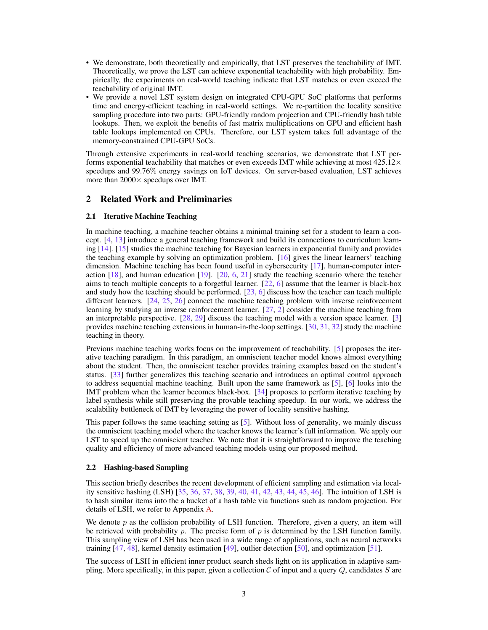- We demonstrate, both theoretically and empirically, that LST preserves the teachability of IMT. Theoretically, we prove the LST can achieve exponential teachability with high probability. Empirically, the experiments on real-world teaching indicate that LST matches or even exceed the teachability of original IMT.
- We provide a novel LST system design on integrated CPU-GPU SoC platforms that performs time and energy-efficient teaching in real-world settings. We re-partition the locality sensitive sampling procedure into two parts: GPU-friendly random projection and CPU-friendly hash table lookups. Then, we exploit the benefits of fast matrix multiplications on GPU and efficient hash table lookups implemented on CPUs. Therefore, our LST system takes full advantage of the memory-constrained CPU-GPU SoCs.

Through extensive experiments in real-world teaching scenarios, we demonstrate that LST performs exponential teachability that matches or even exceeds IMT while achieving at most  $425.12\times$ speedups and 99.76% energy savings on IoT devices. On server-based evaluation, LST achieves more than  $2000 \times$  speedups over IMT.

### 2 Related Work and Preliminaries

#### 2.1 Iterative Machine Teaching

In machine teaching, a machine teacher obtains a minimal training set for a student to learn a concept. [4, 13] introduce a general teaching framework and build its connections to curriculum learning [14]. [15] studies the machine teaching for Bayesian learners in exponential family and provides the teaching example by solving an optimization problem. [16] gives the linear learners' teaching dimension. Machine teaching has been found useful in cybersecurity [17], human-computer interaction  $[18]$ , and human education  $[19]$ .  $[20, 6, 21]$  study the teaching scenario where the teacher aims to teach multiple concepts to a forgetful learner. [22, 6] assume that the learner is black-box and study how the teaching should be performed.  $[23, 6]$  discuss how the teacher can teach multiple different learners. [24, 25, 26] connect the machine teaching problem with inverse reinforcement learning by studying an inverse reinforcement learner. [27, 2] consider the machine teaching from an interpretable perspective. [28, 29] discuss the teaching model with a version space learner. [3] provides machine teaching extensions in human-in-the-loop settings. [30, 31, 32] study the machine teaching in theory.

Previous machine teaching works focus on the improvement of teachability. [5] proposes the iterative teaching paradigm. In this paradigm, an omniscient teacher model knows almost everything about the student. Then, the omniscient teacher provides training examples based on the student's status. [33] further generalizes this teaching scenario and introduces an optimal control approach to address sequential machine teaching. Built upon the same framework as [5], [6] looks into the IMT problem when the learner becomes black-box. [34] proposes to perform iterative teaching by label synthesis while still preserving the provable teaching speedup. In our work, we address the scalability bottleneck of IMT by leveraging the power of locality sensitive hashing.

This paper follows the same teaching setting as [5]. Without loss of generality, we mainly discuss the omniscient teaching model where the teacher knows the learner's full information. We apply our LST to speed up the omniscient teacher. We note that it is straightforward to improve the teaching quality and efficiency of more advanced teaching models using our proposed method.

#### 2.2 Hashing-based Sampling

This section briefly describes the recent development of efficient sampling and estimation via locality sensitive hashing (LSH) [35, 36, 37, 38, 39, 40, 41, 42, 43, 44, 45, 46]. The intuition of LSH is to hash similar items into the a bucket of a hash table via functions such as random projection. For details of LSH, we refer to Appendix A.

We denote  $p$  as the collision probability of LSH function. Therefore, given a query, an item will be retrieved with probability p. The precise form of  $p$  is determined by the LSH function family. This sampling view of LSH has been used in a wide range of applications, such as neural networks training [47, 48], kernel density estimation [49], outlier detection [50], and optimization [51].

The success of LSH in efficient inner product search sheds light on its application in adaptive sampling. More specifically, in this paper, given a collection  $\mathcal C$  of input and a query  $Q$ , candidates  $S$  are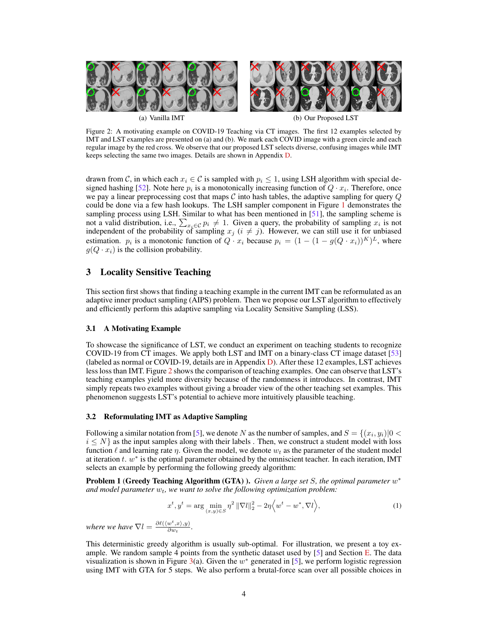

Figure 2: A motivating example on COVID-19 Teaching via CT images. The first 12 examples selected by IMT and LST examples are presented on (a) and (b). We mark each COVID image with a green circle and each regular image by the red cross. We observe that our proposed LST selects diverse, confusing images while IMT keeps selecting the same two images. Details are shown in Appendix D.

drawn from C, in which each  $x_i \in \mathcal{C}$  is sampled with  $p_i \leq 1$ , using LSH algorithm with special designed hashing [52]. Note here  $p_i$  is a monotonically increasing function of  $Q \cdot x_i$ . Therefore, once we pay a linear preprocessing cost that maps  $\mathcal C$  into hash tables, the adaptive sampling for query  $Q$ could be done via a few hash lookups. The LSH sampler component in Figure 1 demonstrates the sampling process using LSH. Similar to what has been mentioned in [51], the sampling scheme is not a valid distribution, i.e.,  $\sum_{x_i \in C} p_i \neq 1$ . Given a query, the probability of sampling  $x_i$  is not independent of the probability of sampling  $x_j$  ( $i \neq j$ ). However, we can still use it for unbiased estimation.  $p_i$  is a monotonic function of  $Q \cdot x_i$  because  $p_i = (1 - (1 - g(Q \cdot x_i))^K)^L$ , where  $g(Q \cdot x_i)$  is the collision probability.

### 3 Locality Sensitive Teaching

This section first shows that finding a teaching example in the current IMT can be reformulated as an adaptive inner product sampling (AIPS) problem. Then we propose our LST algorithm to effectively and efficiently perform this adaptive sampling via Locality Sensitive Sampling (LSS).

#### 3.1 A Motivating Example

To showcase the significance of LST, we conduct an experiment on teaching students to recognize COVID-19 from CT images. We apply both LST and IMT on a binary-class CT image dataset [53] (labeled as normal or COVID-19, details are in Appendix D). After these 12 examples, LST achieves less loss than IMT. Figure 2 shows the comparison of teaching examples. One can observe that LST's teaching examples yield more diversity because of the randomness it introduces. In contrast, IMT simply repeats two examples without giving a broader view of the other teaching set examples. This phenomenon suggests LST's potential to achieve more intuitively plausible teaching.

#### 3.2 Reformulating IMT as Adaptive Sampling

Following a similar notation from [5], we denote  $N$  as the number of samples, and  $S = \{(x_i, y_i) | 0 < \infty\}$  $i \leq N$  as the input samples along with their labels . Then, we construct a student model with loss function  $\ell$  and learning rate  $\eta$ . Given the model, we denote  $w_t$  as the parameter of the student model at iteration  $t. w^*$  is the optimal parameter obtained by the omniscient teacher. In each iteration, IMT selects an example by performing the following greedy algorithm:

**Problem 1 (Greedy Teaching Algorithm (GTA) ).** *Given a large set S, the optimal parameter*  $w^*$ and model parameter  $w_t$ , we want to solve the following optimization problem:

$$
x^{t}, y^{t} = \arg\min_{(x,y)\in S} \eta^{2} \|\nabla l\|_{2}^{2} - 2\eta \langle w^{t} - w^{*}, \nabla l \rangle, \tag{1}
$$

*where we have*  $\nabla l = \frac{\partial \ell(\langle w^t, x \rangle, y)}{\partial w}$  $\frac{w\, ,x \rangle, y)}{\partial w_t}.$ 

This deterministic greedy algorithm is usually sub-optimal. For illustration, we present a toy example. We random sample 4 points from the synthetic dataset used by  $[5]$  and Section E. The data visualization is shown in Figure 3(a). Given the  $w^*$  generated in [5], we perform logistic regression using IMT with GTA for 5 steps. We also perform a brutal-force scan over all possible choices in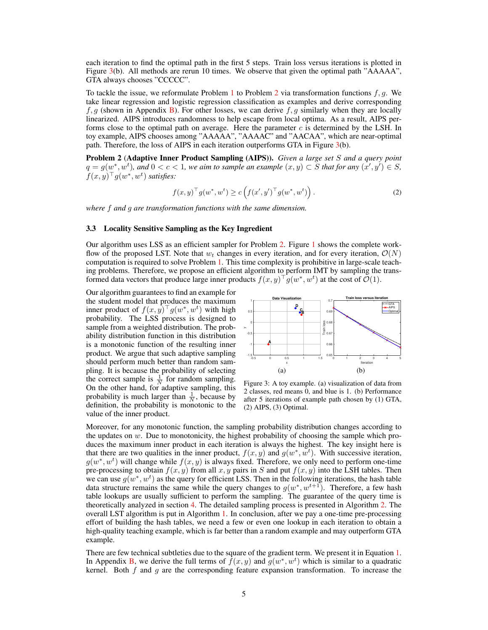each iteration to find the optimal path in the first 5 steps. Train loss versus iterations is plotted in Figure 3(b). All methods are rerun 10 times. We observe that given the optimal path "AAAAA", GTA always chooses "CCCCC".

To tackle the issue, we reformulate Problem 1 to Problem 2 via transformation functions  $f, g$ . We take linear regression and logistic regression classification as examples and derive corresponding  $f, g$  (shown in Appendix B). For other losses, we can derive f, g similarly when they are locally linearized. AIPS introduces randomness to help escape from local optima. As a result, AIPS performs close to the optimal path on average. Here the parameter  $c$  is determined by the LSH. In toy example, AIPS chooses among "AAAAA", "AAAAC" and "AACAA", which are near-optimal path. Therefore, the loss of AIPS in each iteration outperforms GTA in Figure 3(b).

Problem 2 (Adaptive Inner Product Sampling (AIPS)). *Given a large set* S *and a query point*  $q = g(w^*, w^t)$ , and  $0 < c < 1$ , we aim to sample an example  $(x, y) \subset S$  that for any  $(x', y') \in S$ ,  $f(x, y)^{\top} g(w^*, w^t)$  satisfies:

$$
f(x,y)^{\top} g(w^*,w^t) \ge c \left( f(x',y')^{\top} g(w^*,w^t) \right). \tag{2}
$$

*where* f *and* g *are transformation functions with the same dimension.*

#### 3.3 Locality Sensitive Sampling as the Key Ingredient

Our algorithm uses LSS as an efficient sampler for Problem 2. Figure 1 shows the complete workflow of the proposed LST. Note that  $w_t$  changes in every iteration, and for every iteration,  $\mathcal{O}(N)$ computation is required to solve Problem 1. This time complexity is prohibitive in large-scale teaching problems. Therefore, we propose an efficient algorithm to perform IMT by sampling the transformed data vectors that produce large inner products  $f(x, y)^\top g(w^*, w^t)$  at the cost of  $\mathcal{O}(1)$ .

Our algorithm guarantees to find an example for the student model that produces the maximum inner product of  $f(x, y)$ <sup>T</sup> $g(w^*, w^t)$  with high probability. The LSS process is designed to sample from a weighted distribution. The probability distribution function in this distribution is a monotonic function of the resulting inner product. We argue that such adaptive sampling should perform much better than random sampling. It is because the probability of selecting the correct sample is  $\frac{1}{N}$  for random sampling. On the other hand, for adaptive sampling, this probability is much larger than  $\frac{1}{N}$ , because by definition, the probability is monotonic to the value of the inner product.



Figure 3: A toy example. (a) visualization of data from 2 classes, red means 0, and blue is 1. (b) Performance after 5 iterations of example path chosen by (1) GTA, (2) AIPS, (3) Optimal.

Moreover, for any monotonic function, the sampling probability distribution changes according to the updates on  $w$ . Due to monotonicity, the highest probability of choosing the sample which produces the maximum inner product in each iteration is always the highest. The key insight here is that there are two qualities in the inner product,  $f(x, y)$  and  $g(w^*, w^t)$ . With successive iteration,  $g(w^*, w^t)$  will change while  $f(x, y)$  is always fixed. Therefore, we only need to perform one-time pre-processing to obtain  $f(x, y)$  from all x, y pairs in S and put  $f(x, y)$  into the LSH tables. Then we can use  $g(w^*, w^t)$  as the query for efficient LSS. Then in the following iterations, the hash table data structure remains the same while the query changes to  $g(w^*, w^{t+1})$ . Therefore, a few hash table lookups are usually sufficient to perform the sampling. The guarantee of the query time is theoretically analyzed in section 4. The detailed sampling process is presented in Algorithm 2. The overall LST algorithm is put in Algorithm 1. In conclusion, after we pay a one-time pre-processing effort of building the hash tables, we need a few or even one lookup in each iteration to obtain a high-quality teaching example, which is far better than a random example and may outperform GTA example.

There are few technical subtleties due to the square of the gradient term. We present it in Equation 1. In Appendix B, we derive the full terms of  $\hat{f}(x, y)$  and  $g(w^*, w^t)$  which is similar to a quadratic kernel. Both  $f$  and  $g$  are the corresponding feature expansion transformation. To increase the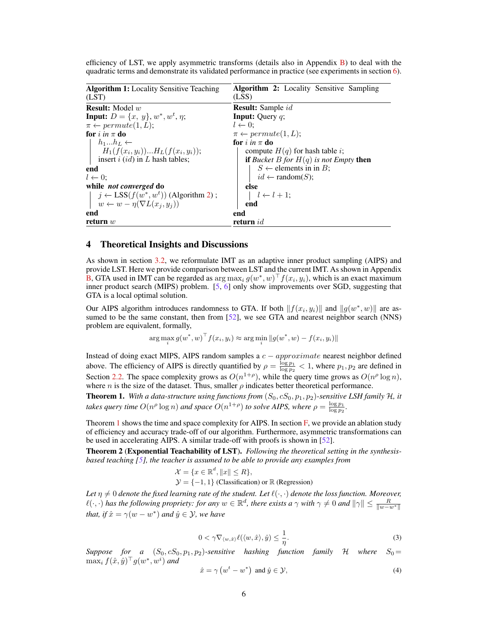| <b>Algorithm 1:</b> Locality Sensitive Teaching       | <b>Algorithm 2:</b> Locality Sensitive Sampling        |  |
|-------------------------------------------------------|--------------------------------------------------------|--|
| (LST)                                                 | (LSS)                                                  |  |
| <b>Result:</b> Model $w$                              | <b>Result:</b> Sample <i>id</i>                        |  |
| <b>Input:</b> $D = \{x, y\}, w^*, w^t, \eta;$         | <b>Input:</b> Query $q$ ;                              |  |
| $\pi \leftarrow permute(1, L);$                       | $l \leftarrow 0$ :                                     |  |
| for i in $\pi$ do                                     | $\pi \leftarrow permute(1,L);$                         |  |
| $h_1h_L \leftarrow$                                   | for i in $\pi$ do                                      |  |
| $H_1(f(x_i, y_i))H_L(f(x_i, y_i));$                   | compute $H(q)$ for hash table i;                       |  |
| insert $i$ (id) in L hash tables;                     | <b>if</b> Bucket B for $H(q)$ is not Empty <b>then</b> |  |
| end                                                   | $S \leftarrow$ elements in in B;                       |  |
| $l \leftarrow 0$ :                                    | $id \leftarrow \text{random}(S);$                      |  |
| while <i>not converged</i> do                         | else                                                   |  |
| $j \leftarrow \text{LSS}(f(w^*, w^t))$ (Algorithm 2); | $l \leftarrow l + 1;$                                  |  |
| $w \leftarrow w - \eta(\nabla L(x_i, y_i))$           | end                                                    |  |
| end                                                   | end                                                    |  |
| return $w$                                            | return $id$                                            |  |

efficiency of LST, we apply asymmetric transforms (details also in Appendix  $\overline{B}$ ) to deal with the quadratic terms and demonstrate its validated performance in practice (see experiments in section 6).

### 4 Theoretical Insights and Discussions

As shown in section 3.2, we reformulate IMT as an adaptive inner product sampling (AIPS) and provide LST. Here we provide comparison between LST and the current IMT. As shown in Appendix **B**, GTA used in IMT can be regarded as  $\arg \max_i g(w^*, w)^\top f(x_i, y_i)$ , which is an exact maximum inner product search (MIPS) problem. [5, 6] only show improvements over SGD, suggesting that GTA is a local optimal solution.

Our AIPS algorithm introduces randomness to GTA. If both  $|| f(x_i, y_i) ||$  and  $|| g(w^*, w) ||$  are assumed to be the same constant, then from [52], we see GTA and nearest neighbor search (NNS) problem are equivalent, formally,

$$
\arg\max_{i} g(w^*, w)^\top f(x_i, y_i) \approx \arg\min_{i} \|g(w^*, w) - f(x_i, y_i)\|
$$

Instead of doing exact MIPS, AIPS random samples a c − approximate nearest neighbor defined above. The efficiency of AIPS is directly quantified by  $\rho = \frac{\log p_1}{\log p_2} < 1$ , where  $p_1, p_2$  are defined in Section 2.2. The space complexity grows as  $O(n^{1+\rho})$ , while the query time grows as  $O(n^{\rho} \log n)$ , where *n* is the size of the dataset. Thus, smaller  $\rho$  indicates better theoretical performance.

**Theorem 1.** With a data-structure using functions from  $(S_0, cS_0, p_1, p_2)$ -sensitive LSH family H, it *takes query time*  $O(n^{\rho} \log n)$  *and space*  $O(n^{1+\rho})$  *to solve AIPS, where*  $\rho = \frac{\log p_1}{\log p_2}$ .

Theorem 1 shows the time and space complexity for AIPS. In section F, we provide an ablation study of efficiency and accuracy trade-off of our algorithm. Furthermore, asymmetric transformations can be used in accelerating AIPS. A similar trade-off with proofs is shown in [52].

Theorem 2 (Exponential Teachability of LST). *Following the theoretical setting in the synthesisbased teaching [5], the teacher is assumed to be able to provide any examples from*

$$
\mathcal{X} = \{x \in \mathbb{R}^d, ||x|| \le R\},\
$$
  

$$
\mathcal{Y} = \{-1, 1\}
$$
 (Classification) or  $\mathbb{R}$  (Regression)

*Let*  $\eta \neq 0$  *denote the fixed learning rate of the student. Let*  $\ell(\cdot, \cdot)$  *denote the loss function. Moreover,*  $\ell(\cdot, \cdot)$  *has the following propriety: for any*  $w \in \mathbb{R}^d$ , *there exists a*  $\gamma$  *with*  $\gamma \neq 0$  *and*  $\|\gamma\| \leq \frac{R}{\|w-w^*\|}$ *that, if*  $\hat{x} = \gamma(w - w^*)$  *and*  $\hat{y} \in \mathcal{Y}$ *, we have* 

$$
0 < \gamma \nabla_{\langle w, \hat{x} \rangle} \ell(\langle w, \hat{x} \rangle, \hat{y}) \le \frac{1}{\eta}.
$$

*Suppose for a*  $(S_0, cS_0, p_1, p_2)$ -sensitive hashing function family H where  $S_0 =$  $\max_i f(\hat{x}, \hat{y})^\top g(w^*, w^i)$  and

$$
\hat{x} = \gamma \left( w^t - w^* \right) \text{ and } \hat{y} \in \mathcal{Y}, \tag{4}
$$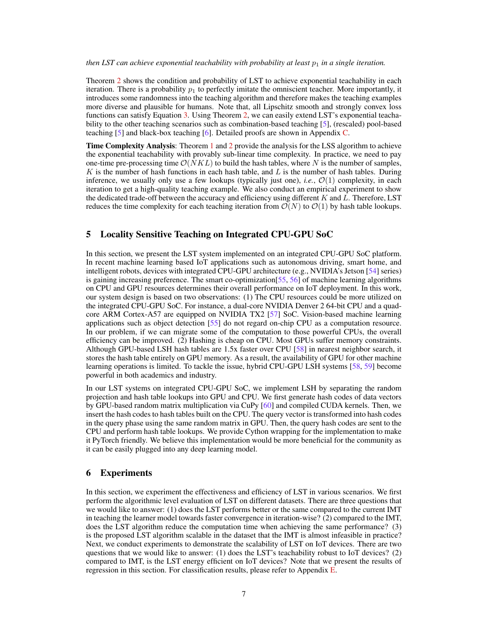#### *then LST can achieve exponential teachability with probability at least*  $p_1$  *in a single iteration.*

Theorem 2 shows the condition and probability of LST to achieve exponential teachability in each iteration. There is a probability  $p_1$  to perfectly imitate the omniscient teacher. More importantly, it introduces some randomness into the teaching algorithm and therefore makes the teaching examples more diverse and plausible for humans. Note that, all Lipschitz smooth and strongly convex loss functions can satisfy Equation 3. Using Theorem 2, we can easily extend LST's exponential teachability to the other teaching scenarios such as combination-based teaching [5], (rescaled) pool-based teaching [5] and black-box teaching [6]. Detailed proofs are shown in Appendix C.

Time Complexity Analysis: Theorem 1 and 2 provide the analysis for the LSS algorithm to achieve the exponential teachability with provably sub-linear time complexity. In practice, we need to pay one-time pre-processing time  $\mathcal{O}(NKL)$  to build the hash tables, where N is the number of samples, K is the number of hash functions in each hash table, and L is the number of hash tables. During inference, we usually only use a few lookups (typically just one), *i.e.*,  $\mathcal{O}(1)$  complexity, in each iteration to get a high-quality teaching example. We also conduct an empirical experiment to show the dedicated trade-off between the accuracy and efficiency using different  $K$  and  $L$ . Therefore, LST reduces the time complexity for each teaching iteration from  $\mathcal{O}(N)$  to  $\mathcal{O}(1)$  by hash table lookups.

### 5 Locality Sensitive Teaching on Integrated CPU-GPU SoC

In this section, we present the LST system implemented on an integrated CPU-GPU SoC platform. In recent machine learning based IoT applications such as autonomous driving, smart home, and intelligent robots, devices with integrated CPU-GPU architecture (e.g., NVIDIA's Jetson [54] series) is gaining increasing preference. The smart co-optimization[55, 56] of machine learning algorithms on CPU and GPU resources determines their overall performance on IoT deployment. In this work, our system design is based on two observations: (1) The CPU resources could be more utilized on the integrated CPU-GPU SoC. For instance, a dual-core NVIDIA Denver 2 64-bit CPU and a quadcore ARM Cortex-A57 are equipped on NVIDIA TX2 [57] SoC. Vision-based machine learning applications such as object detection [55] do not regard on-chip CPU as a computation resource. In our problem, if we can migrate some of the computation to those powerful CPUs, the overall efficiency can be improved. (2) Hashing is cheap on CPU. Most GPUs suffer memory constraints. Although GPU-based LSH hash tables are 1.5x faster over CPU [58] in nearest neighbor search, it stores the hash table entirely on GPU memory. As a result, the availability of GPU for other machine learning operations is limited. To tackle the issue, hybrid CPU-GPU LSH systems [58, 59] become powerful in both academics and industry.

In our LST systems on integrated CPU-GPU SoC, we implement LSH by separating the random projection and hash table lookups into GPU and CPU. We first generate hash codes of data vectors by GPU-based random matrix multiplication via CuPy [60] and compiled CUDA kernels. Then, we insert the hash codes to hash tables built on the CPU. The query vector is transformed into hash codes in the query phase using the same random matrix in GPU. Then, the query hash codes are sent to the CPU and perform hash table lookups. We provide Cython wrapping for the implementation to make it PyTorch friendly. We believe this implementation would be more beneficial for the community as it can be easily plugged into any deep learning model.

## 6 Experiments

In this section, we experiment the effectiveness and efficiency of LST in various scenarios. We first perform the algorithmic level evaluation of LST on different datasets. There are three questions that we would like to answer: (1) does the LST performs better or the same compared to the current IMT in teaching the learner model towards faster convergence in iteration-wise? (2) compared to the IMT, does the LST algorithm reduce the computation time when achieving the same performance? (3) is the proposed LST algorithm scalable in the dataset that the IMT is almost infeasible in practice? Next, we conduct experiments to demonstrate the scalability of LST on IoT devices. There are two questions that we would like to answer: (1) does the LST's teachability robust to IoT devices? (2) compared to IMT, is the LST energy efficient on IoT devices? Note that we present the results of regression in this section. For classification results, please refer to Appendix E.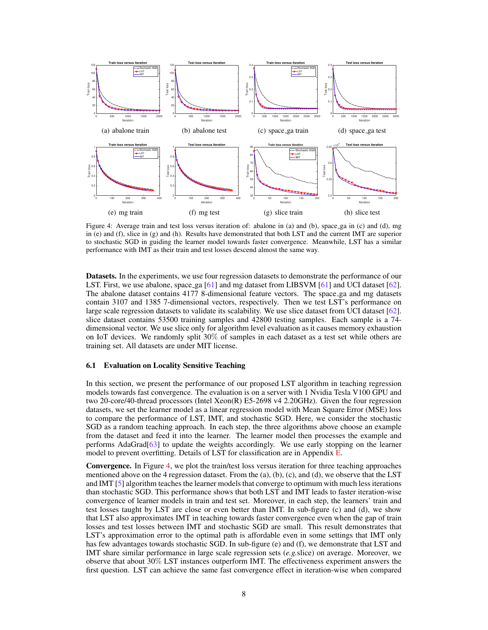

Figure 4: Average train and test loss versus iteration of: abalone in (a) and (b), space ga in (c) and (d), mg in (e) and (f), slice in  $(g)$  and (h). Results have demonstrated that both LST and the current IMT are superior to stochastic SGD in guiding the learner model towards faster convergence. Meanwhile, LST has a similar performance with IMT as their train and test losses descend almost the same way.

Datasets. In the experiments, we use four regression datasets to demonstrate the performance of our LST. First, we use abalone, space ga [61] and mg dataset from LIBSVM [61] and UCI dataset [62]. The abalone dataset contains  $4177$  8-dimensional feature vectors. The space ga and mg datasets contain 3107 and 1385 7-dimensional vectors, respectively. Then we test LST's performance on large scale regression datasets to validate its scalability. We use slice dataset from UCI dataset [62]. slice dataset contains 53500 training samples and 42800 testing samples. Each sample is a 74 dimensional vector. We use slice only for algorithm level evaluation as it causes memory exhaustion on IoT devices. We randomly split 30% of samples in each dataset as a test set while others are training set. All datasets are under MIT license.

#### 6.1 Evaluation on Locality Sensitive Teaching

In this section, we present the performance of our proposed LST algorithm in teaching regression models towards fast convergence. The evaluation is on a server with 1 Nvidia Tesla V100 GPU and two 20-core/40-thread processors (Intel Xeon(R) E5-2698 v4 2.20GHz). Given the four regression datasets, we set the learner model as a linear regression model with Mean Square Error (MSE) loss to compare the performance of LST, IMT, and stochastic SGD. Here, we consider the stochastic SGD as a random teaching approach. In each step, the three algorithms above choose an example from the dataset and feed it into the learner. The learner model then processes the example and performs AdaGrad[63] to update the weights accordingly. We use early stopping on the learner model to prevent overfitting. Details of LST for classification are in Appendix E.

Convergence. In Figure 4, we plot the train/test loss versus iteration for three teaching approaches mentioned above on the 4 regression dataset. From the (a), (b), (c), and (d), we observe that the LST and IMT [5] algorithm teaches the learner models that converge to optimum with much less iterations than stochastic SGD. This performance shows that both LST and IMT leads to faster iteration-wise convergence of learner models in train and test set. Moreover, in each step, the learners' train and test losses taught by LST are close or even better than IMT. In sub-figure (c) and (d), we show that LST also approximates IMT in teaching towards faster convergence even when the gap of train losses and test losses between IMT and stochastic SGD are small. This result demonstrates that LST's approximation error to the optimal path is affordable even in some settings that IMT only has few advantages towards stochastic SGD. In sub-figure (e) and (f), we demonstrate that LST and IMT share similar performance in large scale regression sets (*e.g.*slice) on average. Moreover, we observe that about 30% LST instances outperform IMT. The effectiveness experiment answers the first question. LST can achieve the same fast convergence effect in iteration-wise when compared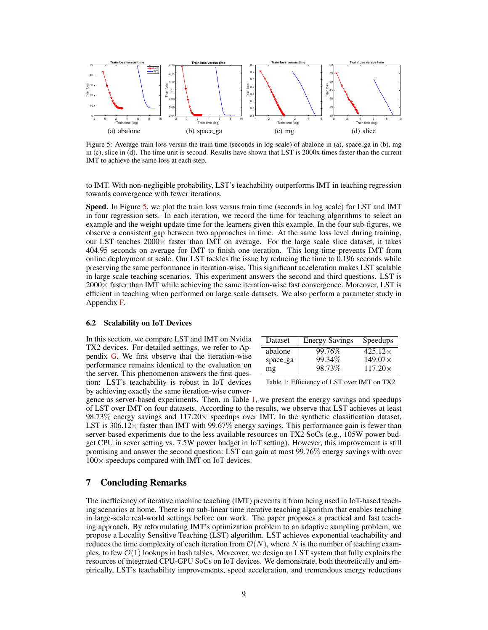

Figure 5: Average train loss versus the train time (seconds in log scale) of abalone in (a), space ga in (b), mg in (c), slice in (d). The time unit is second. Results have shown that LST is 2000x times faster than the current IMT to achieve the same loss at each step.

to IMT. With non-negligible probability, LST's teachability outperforms IMT in teaching regression towards convergence with fewer iterations.

Speed. In Figure 5, we plot the train loss versus train time (seconds in log scale) for LST and IMT in four regression sets. In each iteration, we record the time for teaching algorithms to select an example and the weight update time for the learners given this example. In the four sub-figures, we observe a consistent gap between two approaches in time. At the same loss level during training, our LST teaches  $2000 \times$  faster than IMT on average. For the large scale slice dataset, it takes 404.95 seconds on average for IMT to finish one iteration. This long-time prevents IMT from online deployment at scale. Our LST tackles the issue by reducing the time to 0.196 seconds while preserving the same performance in iteration-wise. This significant acceleration makes LST scalable in large scale teaching scenarios. This experiment answers the second and third questions. LST is  $2000\times$  faster than IMT while achieving the same iteration-wise fast convergence. Moreover, LST is efficient in teaching when performed on large scale datasets. We also perform a parameter study in Appendix F.

#### 6.2 Scalability on IoT Devices

In this section, we compare LST and IMT on Nvidia TX2 devices. For detailed settings, we refer to Appendix G. We first observe that the iteration-wise performance remains identical to the evaluation on the server. This phenomenon answers the first question: LST's teachability is robust in IoT devices by achieving exactly the same iteration-wise conver-

| <b>Dataset</b> | <b>Energy Savings</b> | Speedups       |
|----------------|-----------------------|----------------|
| abalone        | 99.76\%               | $425.12\times$ |
| space_ga       | 99.34%                | $149.07\times$ |
| mg             | 98.73%                | $117.20\times$ |

Table 1: Efficiency of LST over IMT on TX2

gence as server-based experiments. Then, in Table 1, we present the energy savings and speedups of LST over IMT on four datasets. According to the results, we observe that LST achieves at least 98.73% energy savings and  $117.20 \times$  speedups over IMT. In the synthetic classification dataset, LST is 306.12 $\times$  faster than IMT with 99.67% energy savings. This performance gain is fewer than server-based experiments due to the less available resources on TX2 SoCs (e.g., 105W power budget CPU in sever setting vs. 7.5W power budget in IoT setting). However, this improvement is still promising and answer the second question: LST can gain at most 99.76% energy savings with over  $100\times$  speedups compared with IMT on IoT devices.

#### 7 Concluding Remarks

The inefficiency of iterative machine teaching (IMT) prevents it from being used in IoT-based teaching scenarios at home. There is no sub-linear time iterative teaching algorithm that enables teaching in large-scale real-world settings before our work. The paper proposes a practical and fast teaching approach. By reformulating IMT's optimization problem to an adaptive sampling problem, we propose a Locality Sensitive Teaching (LST) algorithm. LST achieves exponential teachability and reduces the time complexity of each iteration from  $\mathcal{O}(N)$ , where N is the number of teaching examples, to few  $\mathcal{O}(1)$  lookups in hash tables. Moreover, we design an LST system that fully exploits the resources of integrated CPU-GPU SoCs on IoT devices. We demonstrate, both theoretically and empirically, LST's teachability improvements, speed acceleration, and tremendous energy reductions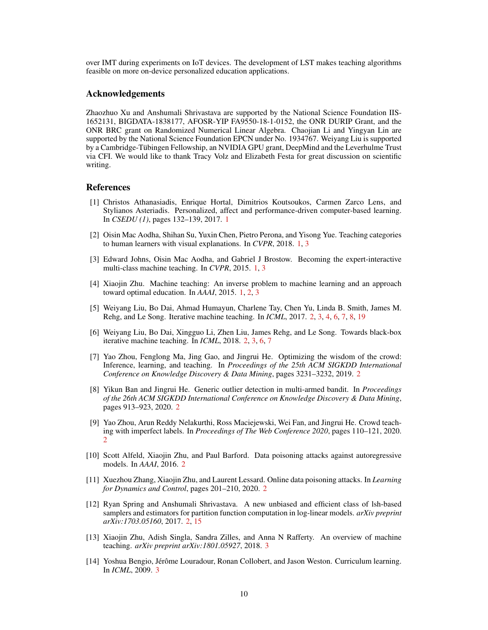over IMT during experiments on IoT devices. The development of LST makes teaching algorithms feasible on more on-device personalized education applications.

### Acknowledgements

Zhaozhuo Xu and Anshumali Shrivastava are supported by the National Science Foundation IIS-1652131, BIGDATA-1838177, AFOSR-YIP FA9550-18-1-0152, the ONR DURIP Grant, and the ONR BRC grant on Randomized Numerical Linear Algebra. Chaojian Li and Yingyan Lin are supported by the National Science Foundation EPCN under No. 1934767. Weiyang Liu is supported by a Cambridge-Tübingen Fellowship, an NVIDIA GPU grant, DeepMind and the Leverhulme Trust via CFI. We would like to thank Tracy Volz and Elizabeth Festa for great discussion on scientific writing.

### References

- [1] Christos Athanasiadis, Enrique Hortal, Dimitrios Koutsoukos, Carmen Zarco Lens, and Stylianos Asteriadis. Personalized, affect and performance-driven computer-based learning. In *CSEDU (1)*, pages 132–139, 2017. 1
- [2] Oisin Mac Aodha, Shihan Su, Yuxin Chen, Pietro Perona, and Yisong Yue. Teaching categories to human learners with visual explanations. In *CVPR*, 2018. 1, 3
- [3] Edward Johns, Oisin Mac Aodha, and Gabriel J Brostow. Becoming the expert-interactive multi-class machine teaching. In *CVPR*, 2015. 1, 3
- [4] Xiaojin Zhu. Machine teaching: An inverse problem to machine learning and an approach toward optimal education. In *AAAI*, 2015. 1, 2, 3
- [5] Weiyang Liu, Bo Dai, Ahmad Humayun, Charlene Tay, Chen Yu, Linda B. Smith, James M. Rehg, and Le Song. Iterative machine teaching. In *ICML*, 2017. 2, 3, 4, 6, 7, 8, 19
- [6] Weiyang Liu, Bo Dai, Xingguo Li, Zhen Liu, James Rehg, and Le Song. Towards black-box iterative machine teaching. In *ICML*, 2018. 2, 3, 6, 7
- [7] Yao Zhou, Fenglong Ma, Jing Gao, and Jingrui He. Optimizing the wisdom of the crowd: Inference, learning, and teaching. In *Proceedings of the 25th ACM SIGKDD International Conference on Knowledge Discovery & Data Mining*, pages 3231–3232, 2019. 2
- [8] Yikun Ban and Jingrui He. Generic outlier detection in multi-armed bandit. In *Proceedings of the 26th ACM SIGKDD International Conference on Knowledge Discovery & Data Mining*, pages 913–923, 2020. 2
- [9] Yao Zhou, Arun Reddy Nelakurthi, Ross Maciejewski, Wei Fan, and Jingrui He. Crowd teaching with imperfect labels. In *Proceedings of The Web Conference 2020*, pages 110–121, 2020. 2
- [10] Scott Alfeld, Xiaojin Zhu, and Paul Barford. Data poisoning attacks against autoregressive models. In *AAAI*, 2016. 2
- [11] Xuezhou Zhang, Xiaojin Zhu, and Laurent Lessard. Online data poisoning attacks. In *Learning for Dynamics and Control*, pages 201–210, 2020. 2
- [12] Ryan Spring and Anshumali Shrivastava. A new unbiased and efficient class of lsh-based samplers and estimators for partition function computation in log-linear models. *arXiv preprint arXiv:1703.05160*, 2017. 2, 15
- [13] Xiaojin Zhu, Adish Singla, Sandra Zilles, and Anna N Rafferty. An overview of machine teaching. *arXiv preprint arXiv:1801.05927*, 2018. 3
- [14] Yoshua Bengio, Jérôme Louradour, Ronan Collobert, and Jason Weston. Curriculum learning. In *ICML*, 2009. 3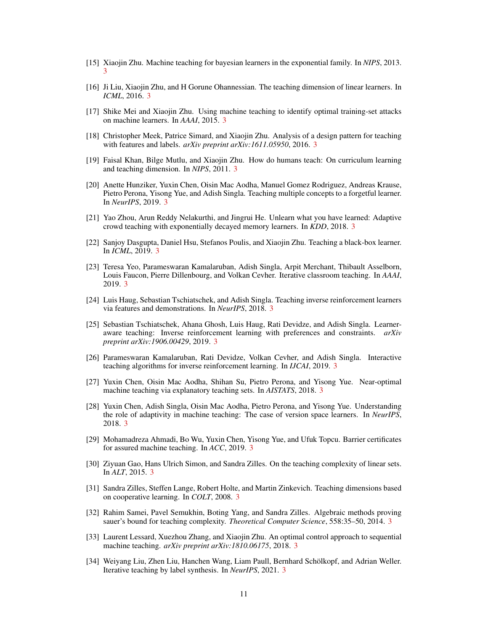- [15] Xiaojin Zhu. Machine teaching for bayesian learners in the exponential family. In *NIPS*, 2013. 3
- [16] Ji Liu, Xiaojin Zhu, and H Gorune Ohannessian. The teaching dimension of linear learners. In *ICML*, 2016. 3
- [17] Shike Mei and Xiaojin Zhu. Using machine teaching to identify optimal training-set attacks on machine learners. In *AAAI*, 2015. 3
- [18] Christopher Meek, Patrice Simard, and Xiaojin Zhu. Analysis of a design pattern for teaching with features and labels. *arXiv preprint arXiv:1611.05950*, 2016. 3
- [19] Faisal Khan, Bilge Mutlu, and Xiaojin Zhu. How do humans teach: On curriculum learning and teaching dimension. In *NIPS*, 2011. 3
- [20] Anette Hunziker, Yuxin Chen, Oisin Mac Aodha, Manuel Gomez Rodriguez, Andreas Krause, Pietro Perona, Yisong Yue, and Adish Singla. Teaching multiple concepts to a forgetful learner. In *NeurIPS*, 2019. 3
- [21] Yao Zhou, Arun Reddy Nelakurthi, and Jingrui He. Unlearn what you have learned: Adaptive crowd teaching with exponentially decayed memory learners. In *KDD*, 2018. 3
- [22] Sanjoy Dasgupta, Daniel Hsu, Stefanos Poulis, and Xiaojin Zhu. Teaching a black-box learner. In *ICML*, 2019. 3
- [23] Teresa Yeo, Parameswaran Kamalaruban, Adish Singla, Arpit Merchant, Thibault Asselborn, Louis Faucon, Pierre Dillenbourg, and Volkan Cevher. Iterative classroom teaching. In *AAAI*, 2019. 3
- [24] Luis Haug, Sebastian Tschiatschek, and Adish Singla. Teaching inverse reinforcement learners via features and demonstrations. In *NeurIPS*, 2018. 3
- [25] Sebastian Tschiatschek, Ahana Ghosh, Luis Haug, Rati Devidze, and Adish Singla. Learneraware teaching: Inverse reinforcement learning with preferences and constraints. *arXiv preprint arXiv:1906.00429*, 2019. 3
- [26] Parameswaran Kamalaruban, Rati Devidze, Volkan Cevher, and Adish Singla. Interactive teaching algorithms for inverse reinforcement learning. In *IJCAI*, 2019. 3
- [27] Yuxin Chen, Oisin Mac Aodha, Shihan Su, Pietro Perona, and Yisong Yue. Near-optimal machine teaching via explanatory teaching sets. In *AISTATS*, 2018. 3
- [28] Yuxin Chen, Adish Singla, Oisin Mac Aodha, Pietro Perona, and Yisong Yue. Understanding the role of adaptivity in machine teaching: The case of version space learners. In *NeurIPS*, 2018. 3
- [29] Mohamadreza Ahmadi, Bo Wu, Yuxin Chen, Yisong Yue, and Ufuk Topcu. Barrier certificates for assured machine teaching. In *ACC*, 2019. 3
- [30] Ziyuan Gao, Hans Ulrich Simon, and Sandra Zilles. On the teaching complexity of linear sets. In *ALT*, 2015. 3
- [31] Sandra Zilles, Steffen Lange, Robert Holte, and Martin Zinkevich. Teaching dimensions based on cooperative learning. In *COLT*, 2008. 3
- [32] Rahim Samei, Pavel Semukhin, Boting Yang, and Sandra Zilles. Algebraic methods proving sauer's bound for teaching complexity. *Theoretical Computer Science*, 558:35–50, 2014. 3
- [33] Laurent Lessard, Xuezhou Zhang, and Xiaojin Zhu. An optimal control approach to sequential machine teaching. *arXiv preprint arXiv:1810.06175*, 2018. 3
- [34] Weiyang Liu, Zhen Liu, Hanchen Wang, Liam Paull, Bernhard Schölkopf, and Adrian Weller. Iterative teaching by label synthesis. In *NeurIPS*, 2021. 3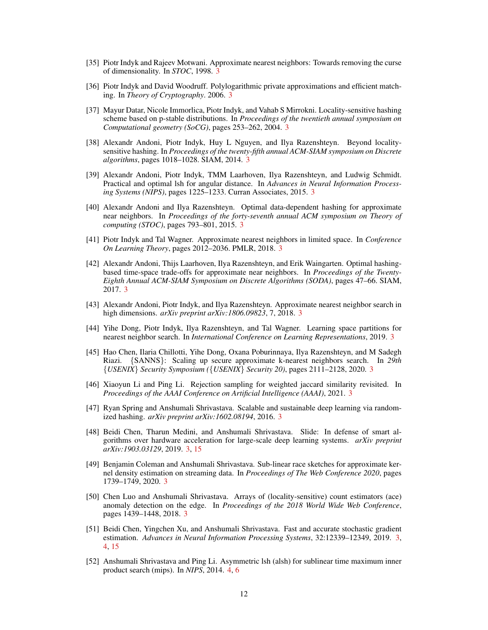- [35] Piotr Indyk and Rajeev Motwani. Approximate nearest neighbors: Towards removing the curse of dimensionality. In *STOC*, 1998. 3
- [36] Piotr Indyk and David Woodruff. Polylogarithmic private approximations and efficient matching. In *Theory of Cryptography*. 2006. 3
- [37] Mayur Datar, Nicole Immorlica, Piotr Indyk, and Vahab S Mirrokni. Locality-sensitive hashing scheme based on p-stable distributions. In *Proceedings of the twentieth annual symposium on Computational geometry (SoCG)*, pages 253–262, 2004. 3
- [38] Alexandr Andoni, Piotr Indyk, Huy L Nguyen, and Ilya Razenshteyn. Beyond localitysensitive hashing. In *Proceedings of the twenty-fifth annual ACM-SIAM symposium on Discrete algorithms*, pages 1018–1028. SIAM, 2014. 3
- [39] Alexandr Andoni, Piotr Indyk, TMM Laarhoven, Ilya Razenshteyn, and Ludwig Schmidt. Practical and optimal lsh for angular distance. In *Advances in Neural Information Processing Systems (NIPS)*, pages 1225–1233. Curran Associates, 2015. 3
- [40] Alexandr Andoni and Ilya Razenshteyn. Optimal data-dependent hashing for approximate near neighbors. In *Proceedings of the forty-seventh annual ACM symposium on Theory of computing (STOC)*, pages 793–801, 2015. 3
- [41] Piotr Indyk and Tal Wagner. Approximate nearest neighbors in limited space. In *Conference On Learning Theory*, pages 2012–2036. PMLR, 2018. 3
- [42] Alexandr Andoni, Thijs Laarhoven, Ilya Razenshteyn, and Erik Waingarten. Optimal hashingbased time-space trade-offs for approximate near neighbors. In *Proceedings of the Twenty-Eighth Annual ACM-SIAM Symposium on Discrete Algorithms (SODA)*, pages 47–66. SIAM, 2017. 3
- [43] Alexandr Andoni, Piotr Indyk, and Ilya Razenshteyn. Approximate nearest neighbor search in high dimensions. *arXiv preprint arXiv:1806.09823*, 7, 2018. 3
- [44] Yihe Dong, Piotr Indyk, Ilya Razenshteyn, and Tal Wagner. Learning space partitions for nearest neighbor search. In *International Conference on Learning Representations*, 2019. 3
- [45] Hao Chen, Ilaria Chillotti, Yihe Dong, Oxana Poburinnaya, Ilya Razenshteyn, and M Sadegh Riazi. {SANNS}: Scaling up secure approximate k-nearest neighbors search. In *29th* {*USENIX*} *Security Symposium (*{*USENIX*} *Security 20)*, pages 2111–2128, 2020. 3
- [46] Xiaoyun Li and Ping Li. Rejection sampling for weighted jaccard similarity revisited. In *Proceedings of the AAAI Conference on Artificial Intelligence (AAAI)*, 2021. 3
- [47] Ryan Spring and Anshumali Shrivastava. Scalable and sustainable deep learning via randomized hashing. *arXiv preprint arXiv:1602.08194*, 2016. 3
- [48] Beidi Chen, Tharun Medini, and Anshumali Shrivastava. Slide: In defense of smart algorithms over hardware acceleration for large-scale deep learning systems. *arXiv preprint arXiv:1903.03129*, 2019. 3, 15
- [49] Benjamin Coleman and Anshumali Shrivastava. Sub-linear race sketches for approximate kernel density estimation on streaming data. In *Proceedings of The Web Conference 2020*, pages 1739–1749, 2020. 3
- [50] Chen Luo and Anshumali Shrivastava. Arrays of (locality-sensitive) count estimators (ace) anomaly detection on the edge. In *Proceedings of the 2018 World Wide Web Conference*, pages 1439–1448, 2018. 3
- [51] Beidi Chen, Yingchen Xu, and Anshumali Shrivastava. Fast and accurate stochastic gradient estimation. *Advances in Neural Information Processing Systems*, 32:12339–12349, 2019. 3, 4, 15
- [52] Anshumali Shrivastava and Ping Li. Asymmetric lsh (alsh) for sublinear time maximum inner product search (mips). In *NIPS*, 2014. 4, 6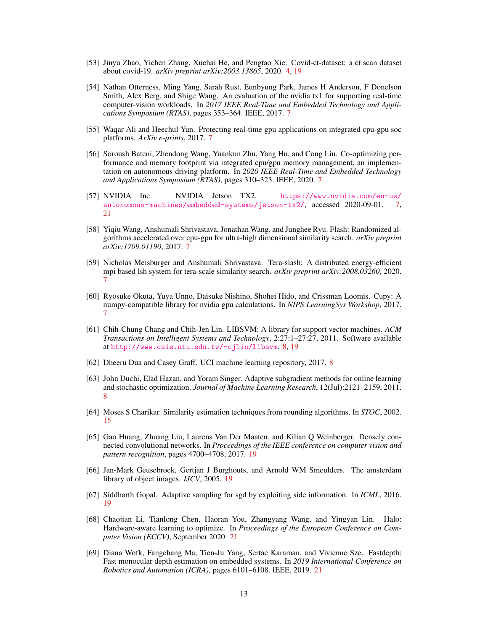- [53] Jinyu Zhao, Yichen Zhang, Xuehai He, and Pengtao Xie. Covid-ct-dataset: a ct scan dataset about covid-19. *arXiv preprint arXiv:2003.13865*, 2020. 4, 19
- [54] Nathan Otterness, Ming Yang, Sarah Rust, Eunbyung Park, James H Anderson, F Donelson Smith, Alex Berg, and Shige Wang. An evaluation of the nvidia tx1 for supporting real-time computer-vision workloads. In *2017 IEEE Real-Time and Embedded Technology and Applications Symposium (RTAS)*, pages 353–364. IEEE, 2017. 7
- [55] Waqar Ali and Heechul Yun. Protecting real-time gpu applications on integrated cpu-gpu soc platforms. *ArXiv e-prints*, 2017. 7
- [56] Soroush Bateni, Zhendong Wang, Yuankun Zhu, Yang Hu, and Cong Liu. Co-optimizing performance and memory footprint via integrated cpu/gpu memory management, an implementation on autonomous driving platform. In *2020 IEEE Real-Time and Embedded Technology and Applications Symposium (RTAS)*, pages 310–323. IEEE, 2020. 7
- [57] NVIDIA Inc. NVIDIA Jetson TX2. [https://www.nvidia.com/en-us/](https://www.nvidia.com/en-us/autonomous-machines/embedded-systems/jetson-tx2/)<br>autonomous-machines/embedded-systems/jetson-tx2/. accessed 2020-09-01. 7. [autonomous-machines/embedded-systems/jetson-tx2/](https://www.nvidia.com/en-us/autonomous-machines/embedded-systems/jetson-tx2/), accessed 2020-09-01. 21
- [58] Yiqiu Wang, Anshumali Shrivastava, Jonathan Wang, and Junghee Ryu. Flash: Randomized algorithms accelerated over cpu-gpu for ultra-high dimensional similarity search. *arXiv preprint arXiv:1709.01190*, 2017. 7
- [59] Nicholas Meisburger and Anshumali Shrivastava. Tera-slash: A distributed energy-efficient mpi based lsh system for tera-scale similarity search. *arXiv preprint arXiv:2008.03260*, 2020. 7
- [60] Ryosuke Okuta, Yuya Unno, Daisuke Nishino, Shohei Hido, and Crissman Loomis. Cupy: A numpy-compatible library for nvidia gpu calculations. In *NIPS LearningSys Workshop*, 2017. 7
- [61] Chih-Chung Chang and Chih-Jen Lin. LIBSVM: A library for support vector machines. *ACM Transactions on Intelligent Systems and Technology*, 2:27:1–27:27, 2011. Software available at <http://www.csie.ntu.edu.tw/~cjlin/libsvm>. 8, 19
- [62] Dheeru Dua and Casey Graff. UCI machine learning repository, 2017. 8
- [63] John Duchi, Elad Hazan, and Yoram Singer. Adaptive subgradient methods for online learning and stochastic optimization. *Journal of Machine Learning Research*, 12(Jul):2121–2159, 2011. 8
- [64] Moses S Charikar. Similarity estimation techniques from rounding algorithms. In *STOC*, 2002. 15
- [65] Gao Huang, Zhuang Liu, Laurens Van Der Maaten, and Kilian Q Weinberger. Densely connected convolutional networks. In *Proceedings of the IEEE conference on computer vision and pattern recognition*, pages 4700–4708, 2017. 19
- [66] Jan-Mark Geusebroek, Gertjan J Burghouts, and Arnold WM Smeulders. The amsterdam library of object images. *IJCV*, 2005. 19
- [67] Siddharth Gopal. Adaptive sampling for sgd by exploiting side information. In *ICML*, 2016. 19
- [68] Chaojian Li, Tianlong Chen, Haoran You, Zhangyang Wang, and Yingyan Lin. Halo: Hardware-aware learning to optimize. In *Proceedings of the European Conference on Computer Vision (ECCV)*, September 2020. 21
- [69] Diana Wofk, Fangchang Ma, Tien-Ju Yang, Sertac Karaman, and Vivienne Sze. Fastdepth: Fast monocular depth estimation on embedded systems. In *2019 International Conference on Robotics and Automation (ICRA)*, pages 6101–6108. IEEE, 2019. 21